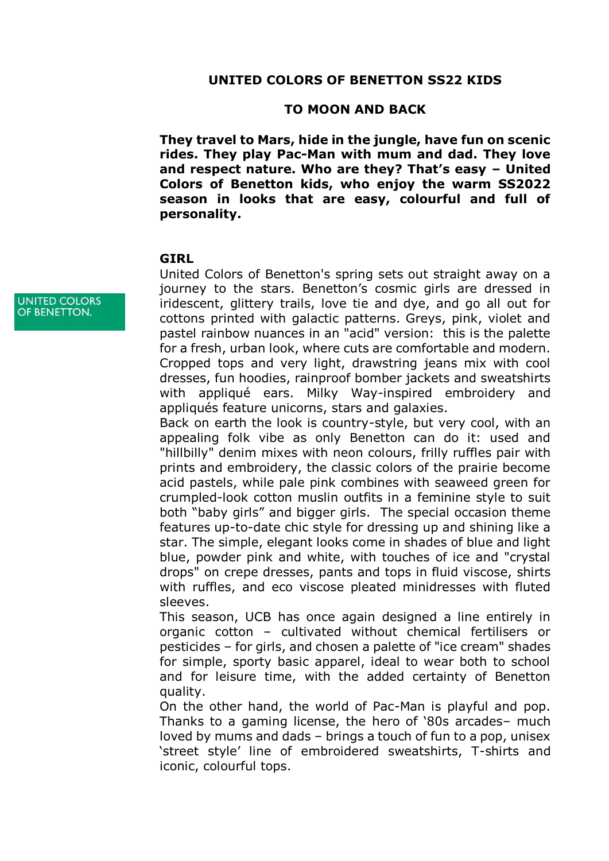## **TO MOON AND BACK**

**They travel to Mars, hide in the jungle, have fun on scenic rides. They play Pac-Man with mum and dad. They love and respect nature. Who are they? That's easy – United Colors of Benetton kids, who enjoy the warm SS2022 season in looks that are easy, colourful and full of personality.**

## **GIRL**

United Colors of Benetton's spring sets out straight away on a journey to the stars. Benetton's cosmic girls are dressed in iridescent, glittery trails, love tie and dye, and go all out for cottons printed with galactic patterns. Greys, pink, violet and pastel rainbow nuances in an "acid" version: this is the palette for a fresh, urban look, where cuts are comfortable and modern. Cropped tops and very light, drawstring jeans mix with cool dresses, fun hoodies, rainproof bomber jackets and sweatshirts with appliqué ears. Milky Way-inspired embroidery and appliqués feature unicorns, stars and galaxies.

Back on earth the look is country-style, but very cool, with an appealing folk vibe as only Benetton can do it: used and "hillbilly" denim mixes with neon colours, frilly ruffles pair with prints and embroidery, the classic colors of the prairie become acid pastels, while pale pink combines with seaweed green for crumpled-look cotton muslin outfits in a feminine style to suit both "baby girls" and bigger girls. The special occasion theme features up-to-date chic style for dressing up and shining like a star. The simple, elegant looks come in shades of blue and light blue, powder pink and white, with touches of ice and "crystal drops" on crepe dresses, pants and tops in fluid viscose, shirts with ruffles, and eco viscose pleated minidresses with fluted sleeves.

This season, UCB has once again designed a line entirely in organic cotton – cultivated without chemical fertilisers or pesticides – for girls, and chosen a palette of "ice cream" shades for simple, sporty basic apparel, ideal to wear both to school and for leisure time, with the added certainty of Benetton quality.

On the other hand, the world of Pac-Man is playful and pop. Thanks to a gaming license, the hero of '80s arcades– much loved by mums and dads – brings a touch of fun to a pop, unisex 'street style' line of embroidered sweatshirts, T-shirts and iconic, colourful tops.

**UNITED COLORS** OF BENETTON.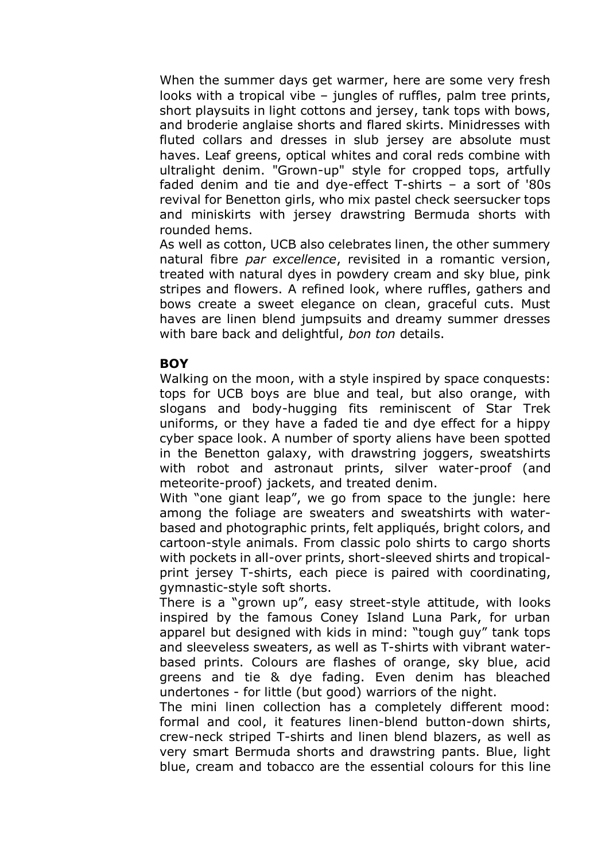When the summer days get warmer, here are some very fresh looks with a tropical vibe – jungles of ruffles, palm tree prints, short playsuits in light cottons and jersey, tank tops with bows, and broderie anglaise shorts and flared skirts. Minidresses with fluted collars and dresses in slub jersey are absolute must haves. Leaf greens, optical whites and coral reds combine with ultralight denim. "Grown-up" style for cropped tops, artfully faded denim and tie and dye-effect T-shirts – a sort of '80s revival for Benetton girls, who mix pastel check seersucker tops and miniskirts with jersey drawstring Bermuda shorts with rounded hems.

As well as cotton, UCB also celebrates linen, the other summery natural fibre *par excellence*, revisited in a romantic version, treated with natural dyes in powdery cream and sky blue, pink stripes and flowers. A refined look, where ruffles, gathers and bows create a sweet elegance on clean, graceful cuts. Must haves are linen blend jumpsuits and dreamy summer dresses with bare back and delightful, *bon ton* details.

## **BOY**

Walking on the moon, with a style inspired by space conquests: tops for UCB boys are blue and teal, but also orange, with slogans and body-hugging fits reminiscent of Star Trek uniforms, or they have a faded tie and dye effect for a hippy cyber space look. A number of sporty aliens have been spotted in the Benetton galaxy, with drawstring joggers, sweatshirts with robot and astronaut prints, silver water-proof (and meteorite-proof) jackets, and treated denim.

With "one giant leap", we go from space to the jungle: here among the foliage are sweaters and sweatshirts with waterbased and photographic prints, felt appliqués, bright colors, and cartoon-style animals. From classic polo shirts to cargo shorts with pockets in all-over prints, short-sleeved shirts and tropicalprint jersey T-shirts, each piece is paired with coordinating, gymnastic-style soft shorts.

There is a "grown up", easy street-style attitude, with looks inspired by the famous Coney Island Luna Park, for urban apparel but designed with kids in mind: "tough guy" tank tops and sleeveless sweaters, as well as T-shirts with vibrant waterbased prints. Colours are flashes of orange, sky blue, acid greens and tie & dye fading. Even denim has bleached undertones - for little (but good) warriors of the night.

The mini linen collection has a completely different mood: formal and cool, it features linen-blend button-down shirts, crew-neck striped T-shirts and linen blend blazers, as well as very smart Bermuda shorts and drawstring pants. Blue, light blue, cream and tobacco are the essential colours for this line